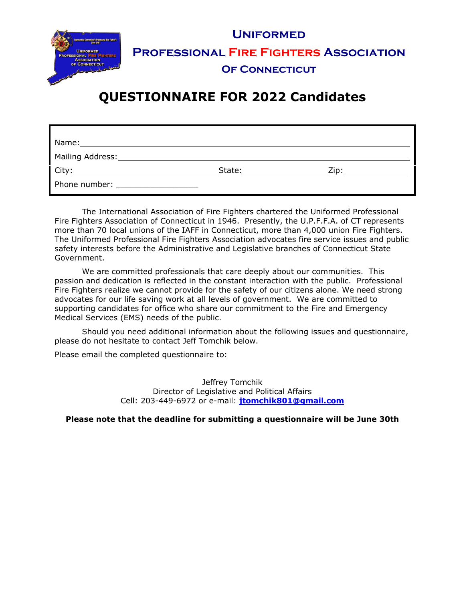|                                                                             | <b>UNIFORMED</b>                              |
|-----------------------------------------------------------------------------|-----------------------------------------------|
| <b>UNIFORMED</b><br><b>PROFESSIONAL FIRE FIGHTERS</b><br><b>ASSOCIATION</b> | <b>PROFESSIONAL FIRE FIGHTERS ASSOCIATION</b> |
| OF CONNECTICUT                                                              | <b>OF CONNECTICUT</b>                         |
|                                                                             |                                               |

# **QUESTIONNAIRE FOR 2022 Candidates**

| Phone number: and the state of the state of the state of the state of the state of the state of the state of the state of the state of the state of the state of the state of the state of the state of the state of the state |  |
|--------------------------------------------------------------------------------------------------------------------------------------------------------------------------------------------------------------------------------|--|

The International Association of Fire Fighters chartered the Uniformed Professional Fire Fighters Association of Connecticut in 1946. Presently, the U.P.F.F.A. of CT represents more than 70 local unions of the IAFF in Connecticut, more than 4,000 union Fire Fighters. The Uniformed Professional Fire Fighters Association advocates fire service issues and public safety interests before the Administrative and Legislative branches of Connecticut State Government.

We are committed professionals that care deeply about our communities. This passion and dedication is reflected in the constant interaction with the public. Professional Fire Fighters realize we cannot provide for the safety of our citizens alone. We need strong advocates for our life saving work at all levels of government. We are committed to supporting candidates for office who share our commitment to the Fire and Emergency Medical Services (EMS) needs of the public.

Should you need additional information about the following issues and questionnaire, please do not hesitate to contact Jeff Tomchik below.

Please email the completed questionnaire to:

Jeffrey Tomchik Director of Legislative and Political Affairs Cell: 203-449-6972 or e-mail: **jtomchik801@gmail.com**

**Please note that the deadline for submitting a questionnaire will be June 30th**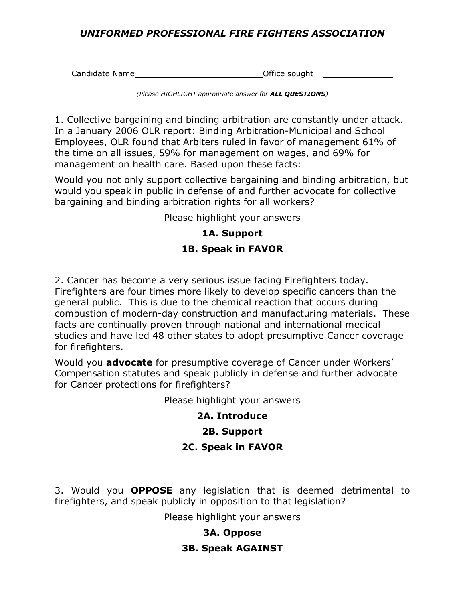### *UNIFORMED PROFESSIONAL FIRE FIGHTERS ASSOCIATION*

Candidate Name  $\qquad \qquad$  Office sought

*(Please HIGHLIGHT appropriate answer for ALL QUESTIONS)* 

1. Collective bargaining and binding arbitration are constantly under attack. In a January 2006 OLR report: Binding Arbitration-Municipal and School Employees, OLR found that Arbiters ruled in favor of management 61% of the time on all issues, 59% for management on wages, and 69% for management on health care. Based upon these facts:

Would you not only support collective bargaining and binding arbitration, but would you speak in public in defense of and further advocate for collective bargaining and binding arbitration rights for all workers?

Please highlight your answers

# **1A. Support 1B. Speak in FAVOR**

2. Cancer has become a very serious issue facing Firefighters today. Firefighters are four times more likely to develop specific cancers than the general public. This is due to the chemical reaction that occurs during combustion of modern-day construction and manufacturing materials. These facts are continually proven through national and international medical studies and have led 48 other states to adopt presumptive Cancer coverage for firefighters.

Would you **advocate** for presumptive coverage of Cancer under Workers' Compensation statutes and speak publicly in defense and further advocate for Cancer protections for firefighters?

Please highlight your answers

# **2A. Introduce**

# **2B. Support**

# **2C. Speak in FAVOR**

3. Would you **OPPOSE** any legislation that is deemed detrimental to firefighters, and speak publicly in opposition to that legislation?

Please highlight your answers

# **3A. Oppose**

# **3B. Speak AGAINST**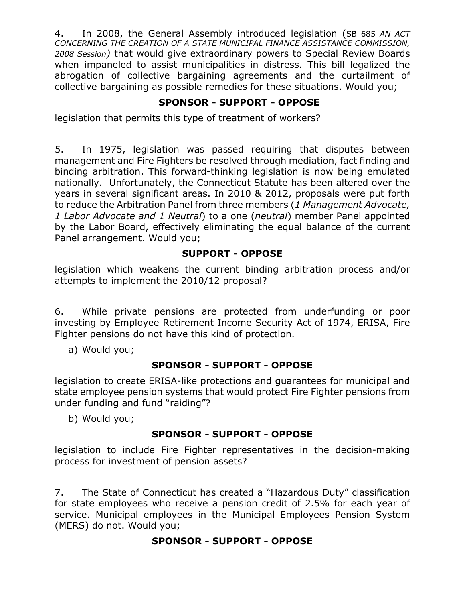4. In 2008, the General Assembly introduced legislation (SB 685 *AN ACT CONCERNING THE CREATION OF A STATE MUNICIPAL FINANCE ASSISTANCE COMMISSION, 2008 Session)* that would give extraordinary powers to Special Review Boards when impaneled to assist municipalities in distress. This bill legalized the abrogation of collective bargaining agreements and the curtailment of collective bargaining as possible remedies for these situations. Would you;

# **SPONSOR - SUPPORT - OPPOSE**

legislation that permits this type of treatment of workers?

5. In 1975, legislation was passed requiring that disputes between management and Fire Fighters be resolved through mediation, fact finding and binding arbitration. This forward-thinking legislation is now being emulated nationally. Unfortunately, the Connecticut Statute has been altered over the years in several significant areas. In 2010 & 2012, proposals were put forth to reduce the Arbitration Panel from three members (*1 Management Advocate, 1 Labor Advocate and 1 Neutral*) to a one (*neutral*) member Panel appointed by the Labor Board, effectively eliminating the equal balance of the current Panel arrangement. Would you;

### **SUPPORT - OPPOSE**

legislation which weakens the current binding arbitration process and/or attempts to implement the 2010/12 proposal?

6. While private pensions are protected from underfunding or poor investing by Employee Retirement Income Security Act of 1974, ERISA, Fire Fighter pensions do not have this kind of protection.

a) Would you;

# **SPONSOR - SUPPORT - OPPOSE**

legislation to create ERISA-like protections and guarantees for municipal and state employee pension systems that would protect Fire Fighter pensions from under funding and fund "raiding"?

b) Would you;

# **SPONSOR - SUPPORT - OPPOSE**

legislation to include Fire Fighter representatives in the decision-making process for investment of pension assets?

7. The State of Connecticut has created a "Hazardous Duty" classification for state employees who receive a pension credit of 2.5% for each year of service. Municipal employees in the Municipal Employees Pension System (MERS) do not. Would you;

# **SPONSOR - SUPPORT - OPPOSE**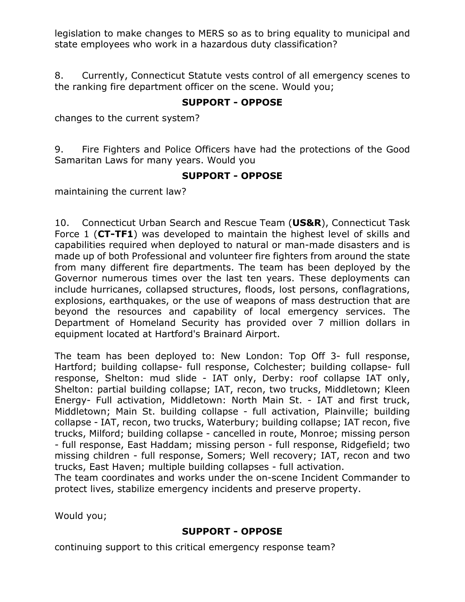legislation to make changes to MERS so as to bring equality to municipal and state employees who work in a hazardous duty classification?

8. Currently, Connecticut Statute vests control of all emergency scenes to the ranking fire department officer on the scene. Would you;

### **SUPPORT - OPPOSE**

changes to the current system?

9. Fire Fighters and Police Officers have had the protections of the Good Samaritan Laws for many years. Would you

#### **SUPPORT - OPPOSE**

maintaining the current law?

10. Connecticut Urban Search and Rescue Team (**US&R**), Connecticut Task Force 1 (**CT-TF1**) was developed to maintain the highest level of skills and capabilities required when deployed to natural or man-made disasters and is made up of both Professional and volunteer fire fighters from around the state from many different fire departments. The team has been deployed by the Governor numerous times over the last ten years. These deployments can include hurricanes, collapsed structures, floods, lost persons, conflagrations, explosions, earthquakes, or the use of weapons of mass destruction that are beyond the resources and capability of local emergency services. The Department of Homeland Security has provided over 7 million dollars in equipment located at Hartford's Brainard Airport.

The team has been deployed to: New London: Top Off 3- full response, Hartford; building collapse- full response, Colchester; building collapse- full response, Shelton: mud slide - IAT only, Derby: roof collapse IAT only, Shelton: partial building collapse; IAT, recon, two trucks, Middletown; Kleen Energy- Full activation, Middletown: North Main St. - IAT and first truck, Middletown; Main St. building collapse - full activation, Plainville; building collapse - IAT, recon, two trucks, Waterbury; building collapse; IAT recon, five trucks, Milford; building collapse - cancelled in route, Monroe; missing person - full response, East Haddam; missing person - full response, Ridgefield; two missing children - full response, Somers; Well recovery; IAT, recon and two trucks, East Haven; multiple building collapses - full activation.

The team coordinates and works under the on-scene Incident Commander to protect lives, stabilize emergency incidents and preserve property.

Would you;

### **SUPPORT - OPPOSE**

continuing support to this critical emergency response team?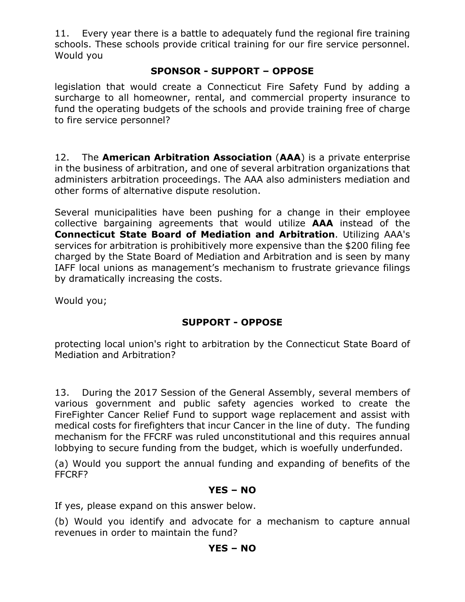11. Every year there is a battle to adequately fund the regional fire training schools. These schools provide critical training for our fire service personnel. Would you

### **SPONSOR - SUPPORT – OPPOSE**

legislation that would create a Connecticut Fire Safety Fund by adding a surcharge to all homeowner, rental, and commercial property insurance to fund the operating budgets of the schools and provide training free of charge to fire service personnel?

12. The **American Arbitration Association** (**AAA**) is a private enterprise in the business of arbitration, and one of several arbitration organizations that administers arbitration proceedings. The AAA also administers mediation and other forms of alternative dispute resolution.

Several municipalities have been pushing for a change in their employee collective bargaining agreements that would utilize **AAA** instead of the **Connecticut State Board of Mediation and Arbitration**. Utilizing AAA's services for arbitration is prohibitively more expensive than the \$200 filing fee charged by the State Board of Mediation and Arbitration and is seen by many IAFF local unions as management's mechanism to frustrate grievance filings by dramatically increasing the costs.

Would you;

### **SUPPORT - OPPOSE**

protecting local union's right to arbitration by the Connecticut State Board of Mediation and Arbitration?

13. During the 2017 Session of the General Assembly, several members of various government and public safety agencies worked to create the FireFighter Cancer Relief Fund to support wage replacement and assist with medical costs for firefighters that incur Cancer in the line of duty. The funding mechanism for the FFCRF was ruled unconstitutional and this requires annual lobbying to secure funding from the budget, which is woefully underfunded.

(a) Would you support the annual funding and expanding of benefits of the FFCRF?

### **YES – NO**

If yes, please expand on this answer below.

(b) Would you identify and advocate for a mechanism to capture annual revenues in order to maintain the fund?